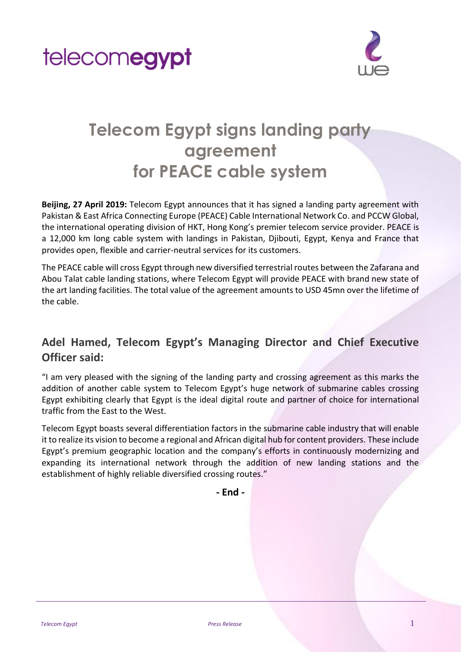



## **Telecom Egypt signs landing party agreement for PEACE cable system**

**Beijing, 27 April 2019:** Telecom Egypt announces that it has signed a landing party agreement with Pakistan & East Africa Connecting Europe (PEACE) Cable International Network Co. and PCCW Global, the international operating division of HKT, Hong Kong's premier telecom service provider. PEACE is a 12,000 km long cable system with landings in Pakistan, Djibouti, Egypt, Kenya and France that provides open, flexible and carrier-neutral services for its customers.

The PEACE cable will cross Egypt through new diversified terrestrial routes between the Zafarana and Abou Talat cable landing stations, where Telecom Egypt will provide PEACE with brand new state of the art landing facilities. The total value of the agreement amounts to USD 45mn over the lifetime of the cable.

### **Adel Hamed, Telecom Egypt's Managing Director and Chief Executive Officer said:**

"I am very pleased with the signing of the landing party and crossing agreement as this marks the addition of another cable system to Telecom Egypt's huge network of submarine cables crossing Egypt exhibiting clearly that Egypt is the ideal digital route and partner of choice for international traffic from the East to the West.

Telecom Egypt boasts several differentiation factors in the submarine cable industry that will enable it to realize its vision to become a regional and African digital hub for content providers. These include Egypt's premium geographic location and the company's efforts in continuously modernizing and expanding its international network through the addition of new landing stations and the establishment of highly reliable diversified crossing routes."

**- End -**